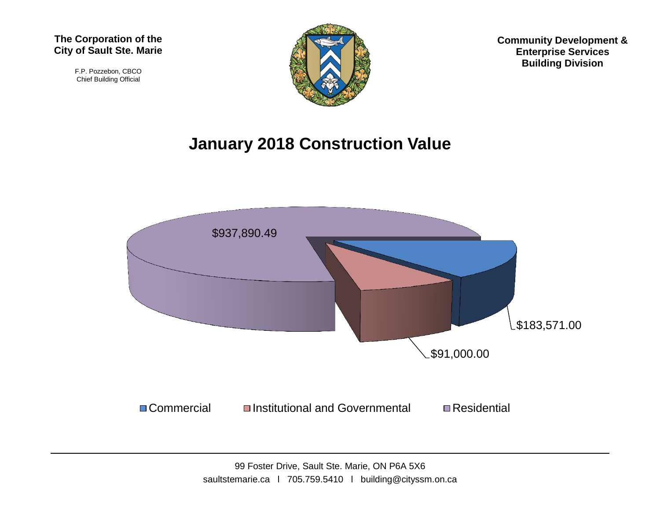F.P. Pozzebon, CBCO Chief Building Official



**Community Development & Enterprise Services Building Division**

## **January 2018 Construction Value**

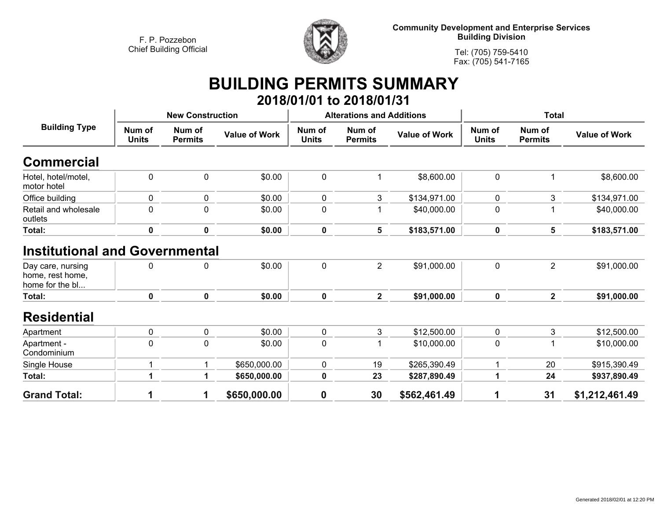

**Community Development and Enterprise Services Building Division**

**Tel: (705) 759-5410Fax: (705) 541-7165**

## **BUILDING PERMITS SUMMARY 2018/01/01 to 2018/01/31**

| <b>Building Type</b>                                                                              | <b>New Construction</b> |                          |                      | <b>Alterations and Additions</b> |                          |                      | <b>Total</b>           |                          |                      |
|---------------------------------------------------------------------------------------------------|-------------------------|--------------------------|----------------------|----------------------------------|--------------------------|----------------------|------------------------|--------------------------|----------------------|
|                                                                                                   | Num of<br><b>Units</b>  | Num of<br><b>Permits</b> | <b>Value of Work</b> | Num of<br><b>Units</b>           | Num of<br><b>Permits</b> | <b>Value of Work</b> | Num of<br><b>Units</b> | Num of<br><b>Permits</b> | <b>Value of Work</b> |
| <b>Commercial</b>                                                                                 |                         |                          |                      |                                  |                          |                      |                        |                          |                      |
| Hotel, hotel/motel,<br>motor hotel                                                                | $\mathbf 0$             | $\mathbf 0$              | \$0.00               | 0                                | 1                        | \$8,600.00           | $\mathbf 0$            |                          | \$8,600.00           |
| Office building                                                                                   | 0                       | 0                        | \$0.00               | 0                                | 3                        | \$134,971.00         | 0                      | 3                        | \$134,971.00         |
| Retail and wholesale<br>outlets                                                                   | 0                       | 0                        | \$0.00               | 0                                |                          | \$40,000.00          | $\mathbf 0$            |                          | \$40,000.00          |
| Total:                                                                                            | $\mathbf 0$             | $\pmb{0}$                | \$0.00               | $\mathbf 0$                      | 5                        | \$183,571.00         | 0                      | 5                        | \$183,571.00         |
| <b>Institutional and Governmental</b><br>Day care, nursing<br>home, rest home,<br>home for the bl | 0                       | 0                        | \$0.00               | 0                                | $\overline{2}$           | \$91,000.00          | $\mathbf 0$            | $\overline{2}$           | \$91,000.00          |
| Total:                                                                                            | $\pmb{0}$               | $\mathbf 0$              | \$0.00               | 0                                | $\mathbf{2}$             | \$91,000.00          | $\mathbf 0$            | $\overline{2}$           | \$91,000.00          |
| <b>Residential</b>                                                                                |                         |                          |                      |                                  |                          |                      |                        |                          |                      |
| Apartment                                                                                         | $\mathbf 0$             | $\mathbf 0$              | \$0.00               | 0                                | 3                        | \$12,500.00          | 0                      | 3                        | \$12,500.00          |
| Apartment -<br>Condominium                                                                        | $\mathbf 0$             | $\mathbf 0$              | \$0.00               | 0                                | 1                        | \$10,000.00          | $\mathbf 0$            |                          | \$10,000.00          |
| Single House                                                                                      | $\overline{\mathbf{A}}$ | 1                        | \$650,000.00         | 0                                | 19                       | \$265,390.49         | 1                      | 20                       | \$915,390.49         |
| Total:                                                                                            | 1                       | 1                        | \$650,000.00         | $\pmb{0}$                        | 23                       | \$287,890.49         | 1                      | 24                       | \$937,890.49         |
| <b>Grand Total:</b>                                                                               | 1                       | 1                        | \$650,000.00         | $\bf{0}$                         | 30                       | \$562,461.49         | 1                      | 31                       | \$1,212,461.49       |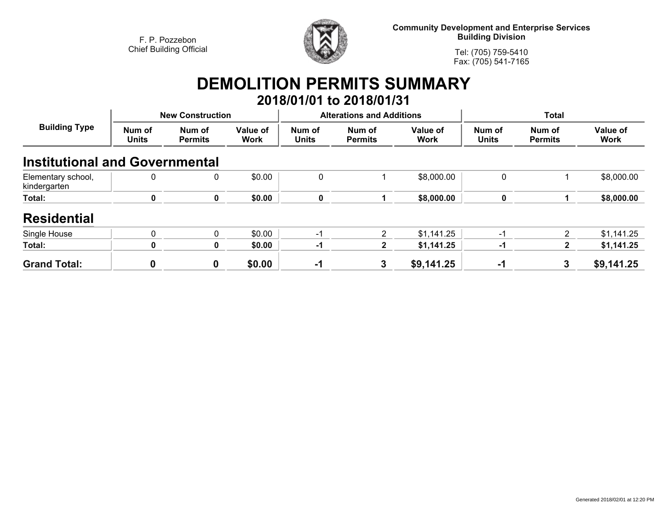

**Community Development and Enterprise Services Building Division**

**Tel: (705) 759-5410Fax: (705) 541-7165**

## **DEMOLITION PERMITS SUMMARY**

|                                       |                         |                          |                         |                                  | 2018/01/01 to 2018/01/31 |                         |                        |                          |                         |
|---------------------------------------|-------------------------|--------------------------|-------------------------|----------------------------------|--------------------------|-------------------------|------------------------|--------------------------|-------------------------|
| <b>Building Type</b>                  | <b>New Construction</b> |                          |                         | <b>Alterations and Additions</b> |                          |                         | <b>Total</b>           |                          |                         |
|                                       | Num of<br><b>Units</b>  | Num of<br><b>Permits</b> | Value of<br><b>Work</b> | Num of<br><b>Units</b>           | Num of<br><b>Permits</b> | Value of<br><b>Work</b> | Num of<br><b>Units</b> | Num of<br><b>Permits</b> | Value of<br><b>Work</b> |
| <b>Institutional and Governmental</b> |                         |                          |                         |                                  |                          |                         |                        |                          |                         |
| Elementary school,<br>kindergarten    | 0                       | 0                        | \$0.00                  | $\mathbf 0$                      |                          | \$8,000.00              | $\mathbf 0$            |                          | \$8,000.00              |
| Total:                                | $\mathbf 0$             | $\mathbf 0$              | \$0.00                  | 0                                |                          | \$8,000.00              | $\mathbf 0$            |                          | \$8,000.00              |
| <b>Residential</b>                    |                         |                          |                         |                                  |                          |                         |                        |                          |                         |
| Single House                          | $\mathbf{0}$            | $\mathbf 0$              | \$0.00                  | $-1$                             | 2                        | \$1,141.25              | $-1$                   | 2                        | \$1,141.25              |
| Total:                                | 0                       | 0                        | \$0.00                  | $-1$                             | $\mathbf{2}$             | \$1,141.25              | -1                     | 2                        | \$1,141.25              |
| <b>Grand Total:</b>                   | 0                       | $\boldsymbol{0}$         | \$0.00                  | $-1$                             | 3                        | \$9,141.25              | $-1$                   | 3                        | \$9,141.25              |